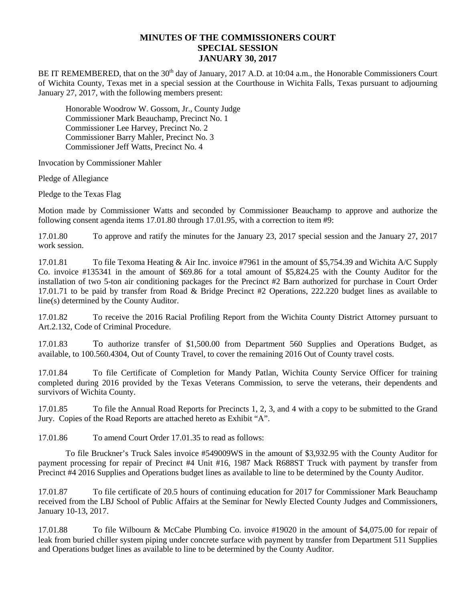## **MINUTES OF THE COMMISSIONERS COURT SPECIAL SESSION JANUARY 30, 2017**

BE IT REMEMBERED, that on the  $30<sup>th</sup>$  day of January, 2017 A.D. at 10:04 a.m., the Honorable Commissioners Court of Wichita County, Texas met in a special session at the Courthouse in Wichita Falls, Texas pursuant to adjourning January 27, 2017, with the following members present:

Honorable Woodrow W. Gossom, Jr., County Judge Commissioner Mark Beauchamp, Precinct No. 1 Commissioner Lee Harvey, Precinct No. 2 Commissioner Barry Mahler, Precinct No. 3 Commissioner Jeff Watts, Precinct No. 4

Invocation by Commissioner Mahler

Pledge of Allegiance

Pledge to the Texas Flag

Motion made by Commissioner Watts and seconded by Commissioner Beauchamp to approve and authorize the following consent agenda items 17.01.80 through 17.01.95, with a correction to item #9:

17.01.80 To approve and ratify the minutes for the January 23, 2017 special session and the January 27, 2017 work session.

17.01.81 To file Texoma Heating & Air Inc. invoice #7961 in the amount of \$5,754.39 and Wichita A/C Supply Co. invoice #135341 in the amount of \$69.86 for a total amount of \$5,824.25 with the County Auditor for the installation of two 5-ton air conditioning packages for the Precinct #2 Barn authorized for purchase in Court Order 17.01.71 to be paid by transfer from Road & Bridge Precinct #2 Operations, 222.220 budget lines as available to line(s) determined by the County Auditor.

17.01.82 To receive the 2016 Racial Profiling Report from the Wichita County District Attorney pursuant to Art.2.132, Code of Criminal Procedure.

17.01.83 To authorize transfer of \$1,500.00 from Department 560 Supplies and Operations Budget, as available, to 100.560.4304, Out of County Travel, to cover the remaining 2016 Out of County travel costs.

17.01.84 To file Certificate of Completion for Mandy Patlan, Wichita County Service Officer for training completed during 2016 provided by the Texas Veterans Commission, to serve the veterans, their dependents and survivors of Wichita County.

17.01.85 To file the Annual Road Reports for Precincts 1, 2, 3, and 4 with a copy to be submitted to the Grand Jury. Copies of the Road Reports are attached hereto as Exhibit "A".

17.01.86 To amend Court Order 17.01.35 to read as follows:

To file Bruckner's Truck Sales invoice #549009WS in the amount of \$3,932.95 with the County Auditor for payment processing for repair of Precinct #4 Unit #16, 1987 Mack R688ST Truck with payment by transfer from Precinct #4 2016 Supplies and Operations budget lines as available to line to be determined by the County Auditor.

17.01.87 To file certificate of 20.5 hours of continuing education for 2017 for Commissioner Mark Beauchamp received from the LBJ School of Public Affairs at the Seminar for Newly Elected County Judges and Commissioners, January 10-13, 2017.

17.01.88 To file Wilbourn & McCabe Plumbing Co. invoice #19020 in the amount of \$4,075.00 for repair of leak from buried chiller system piping under concrete surface with payment by transfer from Department 511 Supplies and Operations budget lines as available to line to be determined by the County Auditor.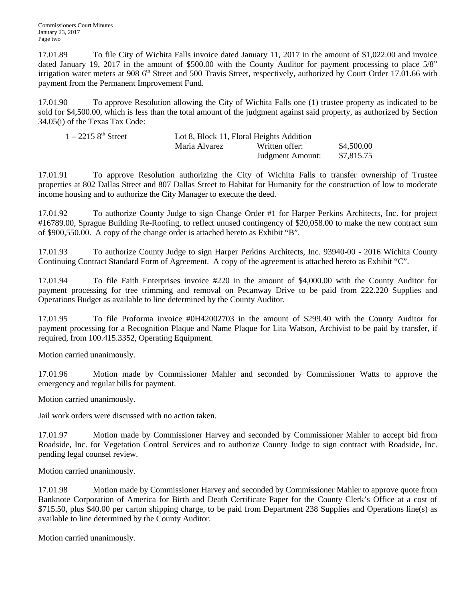17.01.89 To file City of Wichita Falls invoice dated January 11, 2017 in the amount of \$1,022.00 and invoice dated January 19, 2017 in the amount of \$500.00 with the County Auditor for payment processing to place 5/8" irrigation water meters at 908  $6<sup>th</sup>$  Street and 500 Travis Street, respectively, authorized by Court Order 17.01.66 with payment from the Permanent Improvement Fund.

17.01.90 To approve Resolution allowing the City of Wichita Falls one (1) trustee property as indicated to be sold for \$4,500.00, which is less than the total amount of the judgment against said property, as authorized by Section 34.05(i) of the Texas Tax Code:

| $1 - 22158^{th}$ Street | Lot 8, Block 11, Floral Heights Addition |                  |            |
|-------------------------|------------------------------------------|------------------|------------|
|                         | Maria Alvarez                            | Written offer:   | \$4,500.00 |
|                         |                                          | Judgment Amount: | \$7,815.75 |

17.01.91 To approve Resolution authorizing the City of Wichita Falls to transfer ownership of Trustee properties at 802 Dallas Street and 807 Dallas Street to Habitat for Humanity for the construction of low to moderate income housing and to authorize the City Manager to execute the deed.

17.01.92 To authorize County Judge to sign Change Order #1 for Harper Perkins Architects, Inc. for project #16789.00, Sprague Building Re-Roofing, to reflect unused contingency of \$20,058.00 to make the new contract sum of \$900,550.00. A copy of the change order is attached hereto as Exhibit "B".

17.01.93 To authorize County Judge to sign Harper Perkins Architects, Inc. 93940-00 - 2016 Wichita County Continuing Contract Standard Form of Agreement. A copy of the agreement is attached hereto as Exhibit "C".

17.01.94 To file Faith Enterprises invoice #220 in the amount of \$4,000.00 with the County Auditor for payment processing for tree trimming and removal on Pecanway Drive to be paid from 222.220 Supplies and Operations Budget as available to line determined by the County Auditor.

17.01.95 To file Proforma invoice #0H42002703 in the amount of \$299.40 with the County Auditor for payment processing for a Recognition Plaque and Name Plaque for Lita Watson, Archivist to be paid by transfer, if required, from 100.415.3352, Operating Equipment.

Motion carried unanimously.

17.01.96 Motion made by Commissioner Mahler and seconded by Commissioner Watts to approve the emergency and regular bills for payment.

Motion carried unanimously.

Jail work orders were discussed with no action taken.

17.01.97 Motion made by Commissioner Harvey and seconded by Commissioner Mahler to accept bid from Roadside, Inc. for Vegetation Control Services and to authorize County Judge to sign contract with Roadside, Inc. pending legal counsel review.

Motion carried unanimously.

17.01.98 Motion made by Commissioner Harvey and seconded by Commissioner Mahler to approve quote from Banknote Corporation of America for Birth and Death Certificate Paper for the County Clerk's Office at a cost of \$715.50, plus \$40.00 per carton shipping charge, to be paid from Department 238 Supplies and Operations line(s) as available to line determined by the County Auditor.

Motion carried unanimously.